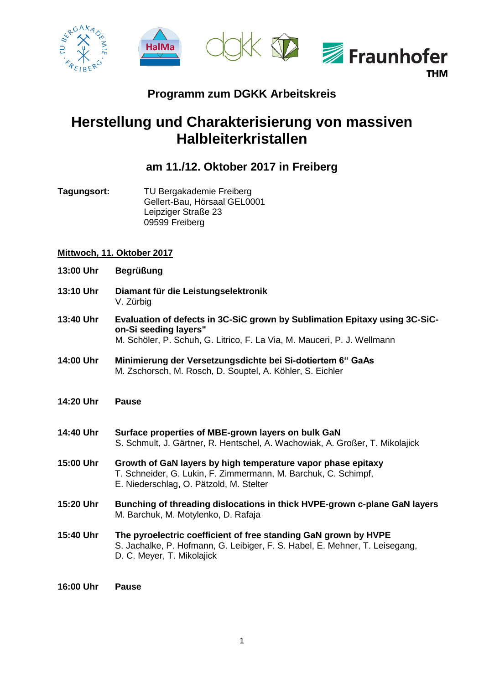

## **Programm zum DGKK Arbeitskreis**

## **Herstellung und Charakterisierung von massiven Halbleiterkristallen**

## **am 11./12. Oktober 2017 in Freiberg**

**Tagungsort:** TU Bergakademie Freiberg Gellert-Bau, Hörsaal GEL0001 Leipziger Straße 23 09599 Freiberg

## **Mittwoch, 11. Oktober 2017**

- **13:00 Uhr Begrüßung**
- **13:10 Uhr Diamant für die Leistungselektronik** V. Zürbig
- **13:40 Uhr Evaluation of defects in 3C-SiC grown by Sublimation Epitaxy using 3C-SiCon-Si seeding layers"** M. Schöler, P. Schuh, G. Litrico, F. La Via, M. Mauceri, P. J. Wellmann
- **14:00 Uhr Minimierung der Versetzungsdichte bei Si-dotiertem 6" GaAs** M. Zschorsch, M. Rosch, D. Souptel, A. Köhler, S. Eichler
- **14:20 Uhr Pause**
- **14:40 Uhr Surface properties of MBE-grown layers on bulk GaN** S. Schmult, J. Gärtner, R. Hentschel, A. Wachowiak, A. Großer, T. Mikolajick
- **15:00 Uhr Growth of GaN layers by high temperature vapor phase epitaxy** T. Schneider, G. Lukin, F. Zimmermann, M. Barchuk, C. Schimpf, E. Niederschlag, O. Pätzold, M. Stelter
- **15:20 Uhr Bunching of threading dislocations in thick HVPE-grown c-plane GaN layers** M. Barchuk, M. Motylenko, D. Rafaja
- **15:40 Uhr The pyroelectric coefficient of free standing GaN grown by HVPE** S. Jachalke, P. Hofmann, G. Leibiger, F. S. Habel, E. Mehner, T. Leisegang, D. C. Meyer, T. Mikolajick
- **16:00 Uhr Pause**